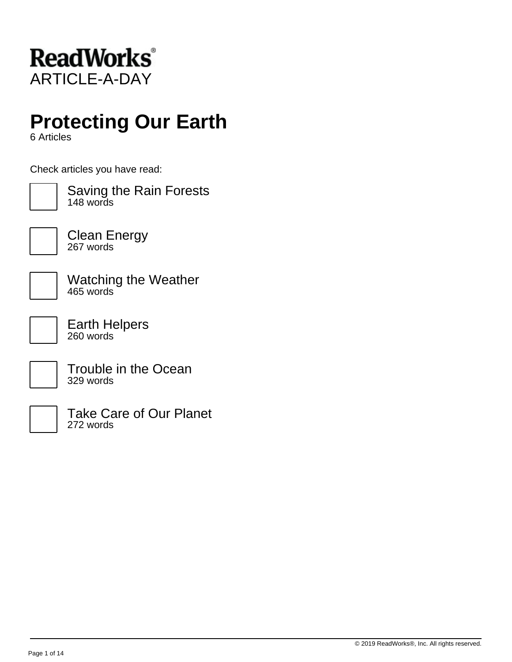

## **Protecting Our Earth**

6 Articles

Check articles you have read:



Saving the Rain Forests 148 words



Clean Energy 267 words

Watching the Weather 465 words

Earth Helpers 260 words

Trouble in the Ocean 329 words



Take Care of Our Planet 272 words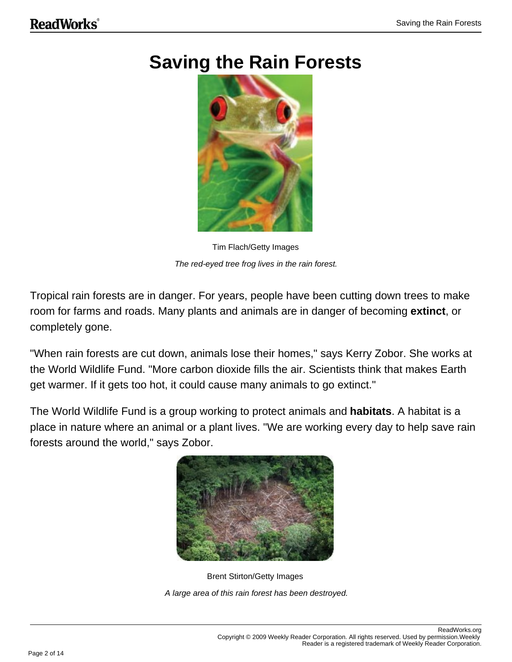## **Saving the Rain Forests**



Tim Flach/Getty Images The red-eyed tree frog lives in the rain forest.

Tropical rain forests are in danger. For years, people have been cutting down trees to make room for farms and roads. Many plants and animals are in danger of becoming **extinct**, or completely gone.

"When rain forests are cut down, animals lose their homes," says Kerry Zobor. She works at the World Wildlife Fund. "More carbon dioxide fills the air. Scientists think that makes Earth get warmer. If it gets too hot, it could cause many animals to go extinct."

The World Wildlife Fund is a group working to protect animals and **habitats**. A habitat is a place in nature where an animal or a plant lives. "We are working every day to help save rain forests around the world," says Zobor.



Brent Stirton/Getty Images A large area of this rain forest has been destroyed.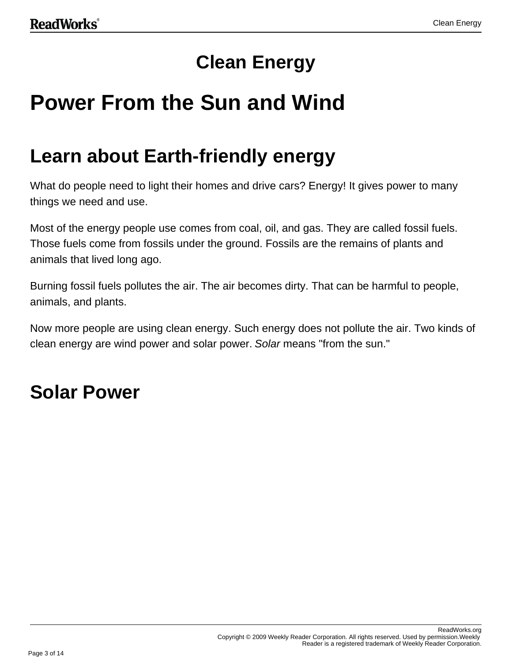## **Clean Energy**

# **Power From the Sun and Wind**

## **Learn about Earth-friendly energy**

What do people need to light their homes and drive cars? Energy! It gives power to many things we need and use.

Most of the energy people use comes from coal, oil, and gas. They are called fossil fuels. Those fuels come from fossils under the ground. Fossils are the remains of plants and animals that lived long ago.

Burning fossil fuels pollutes the air. The air becomes dirty. That can be harmful to people, animals, and plants.

Now more people are using clean energy. Such energy does not pollute the air. Two kinds of clean energy are wind power and solar power. Solar means "from the sun."

## **Solar Power**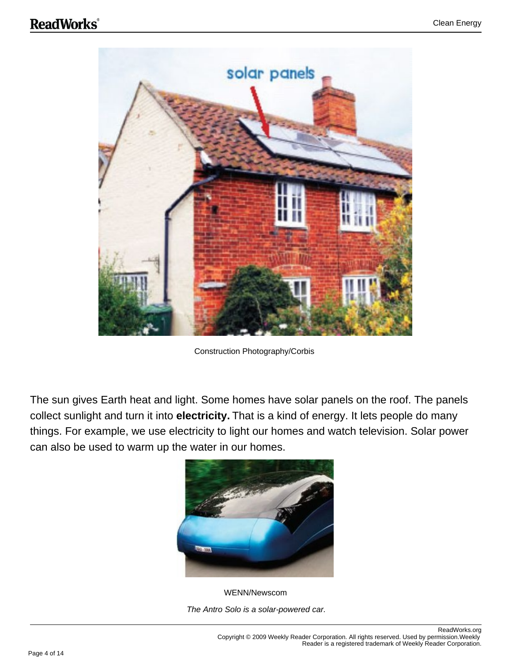

Construction Photography/Corbis

The sun gives Earth heat and light. Some homes have solar panels on the roof. The panels collect sunlight and turn it into **electricity.** That is a kind of energy. It lets people do many things. For example, we use electricity to light our homes and watch television. Solar power can also be used to warm up the water in our homes.



WENN/Newscom The Antro Solo is a solar-powered car.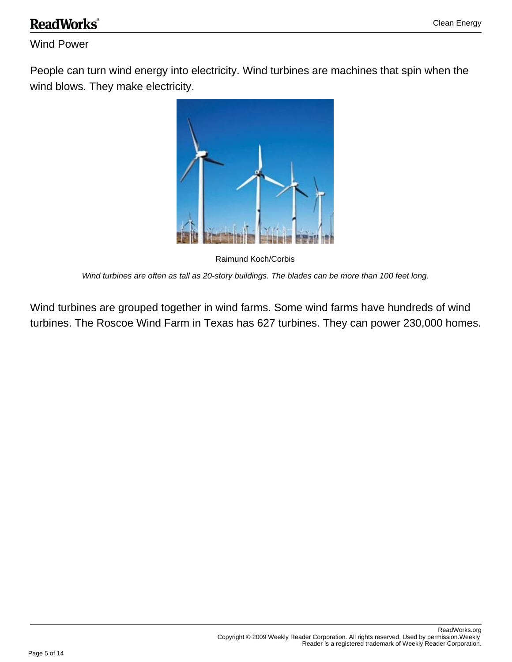### **ReadWorks**®

#### Wind Power

People can turn wind energy into electricity. Wind turbines are machines that spin when the wind blows. They make electricity.



Raimund Koch/Corbis Wind turbines are often as tall as 20-story buildings. The blades can be more than 100 feet long.

Wind turbines are grouped together in wind farms. Some wind farms have hundreds of wind turbines. The Roscoe Wind Farm in Texas has 627 turbines. They can power 230,000 homes.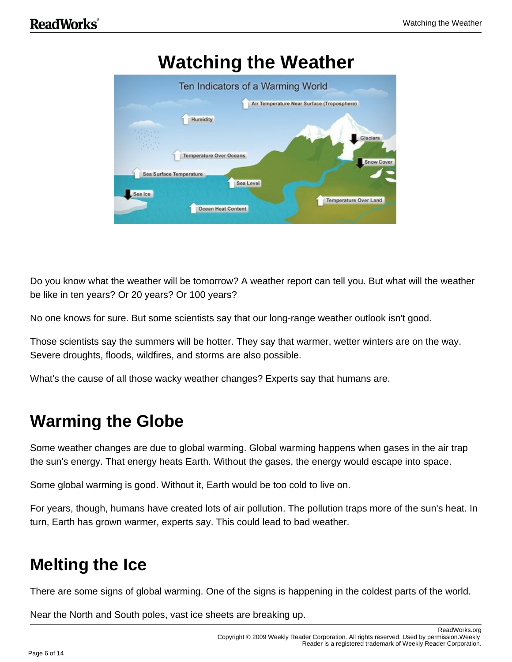

Do you know what the weather will be tomorrow? A weather report can tell you. But what will the weather be like in ten years? Or 20 years? Or 100 years?

No one knows for sure. But some scientists say that our long-range weather outlook isn't good.

Those scientists say the summers will be hotter. They say that warmer, wetter winters are on the way. Severe droughts, floods, wildfires, and storms are also possible.

What's the cause of all those wacky weather changes? Experts say that humans are.

### **Warming the Globe**

Some weather changes are due to global warming. Global warming happens when gases in the air trap the sun's energy. That energy heats Earth. Without the gases, the energy would escape into space.

Some global warming is good. Without it, Earth would be too cold to live on.

For years, though, humans have created lots of air pollution. The pollution traps more of the sun's heat. In turn, Earth has grown warmer, experts say. This could lead to bad weather.

### **Melting the Ice**

There are some signs of global warming. One of the signs is happening in the coldest parts of the world.

Near the North and South poles, vast ice sheets are breaking up.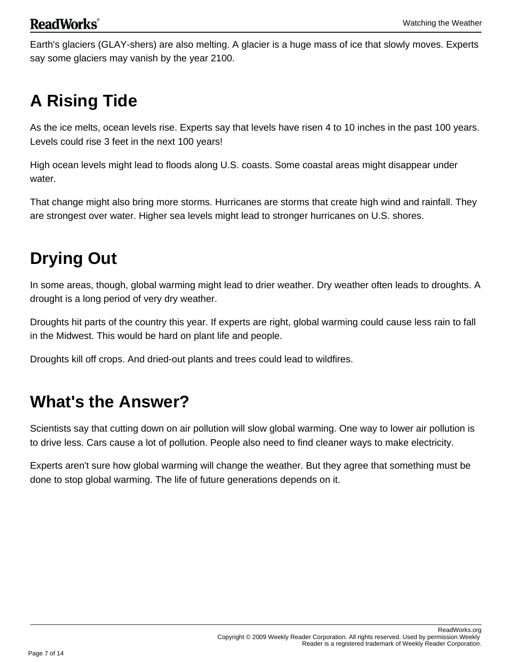Earth's glaciers (GLAY-shers) are also melting. A glacier is a huge mass of ice that slowly moves. Experts say some glaciers may vanish by the year 2100.

## **A Rising Tide**

As the ice melts, ocean levels rise. Experts say that levels have risen 4 to 10 inches in the past 100 years. Levels could rise 3 feet in the next 100 years!

High ocean levels might lead to floods along U.S. coasts. Some coastal areas might disappear under water.

That change might also bring more storms. Hurricanes are storms that create high wind and rainfall. They are strongest over water. Higher sea levels might lead to stronger hurricanes on U.S. shores.

## **Drying Out**

In some areas, though, global warming might lead to drier weather. Dry weather often leads to droughts. A drought is a long period of very dry weather.

Droughts hit parts of the country this year. If experts are right, global warming could cause less rain to fall in the Midwest. This would be hard on plant life and people.

Droughts kill off crops. And dried-out plants and trees could lead to wildfires.

### **What's the Answer?**

Scientists say that cutting down on air pollution will slow global warming. One way to lower air pollution is to drive less. Cars cause a lot of pollution. People also need to find cleaner ways to make electricity.

Experts aren't sure how global warming will change the weather. But they agree that something must be done to stop global warming. The life of future generations depends on it.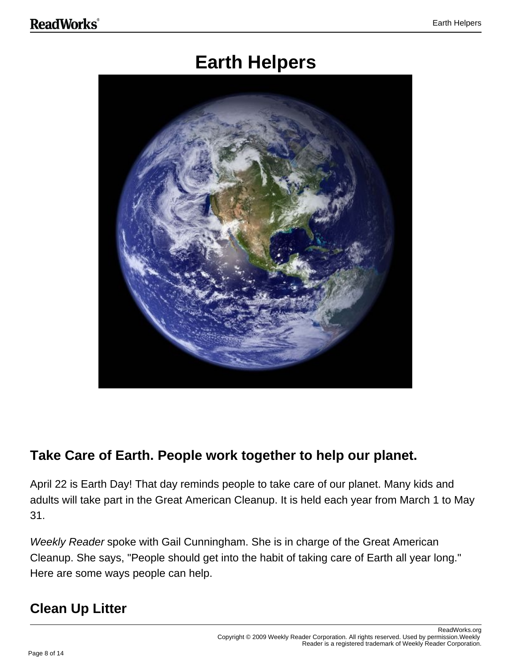## **Earth Helpers**



#### **Take Care of Earth. People work together to help our planet.**

April 22 is Earth Day! That day reminds people to take care of our planet. Many kids and adults will take part in the Great American Cleanup. It is held each year from March 1 to May 31.

Weekly Reader spoke with Gail Cunningham. She is in charge of the Great American Cleanup. She says, "People should get into the habit of taking care of Earth all year long." Here are some ways people can help.

#### **Clean Up Litter**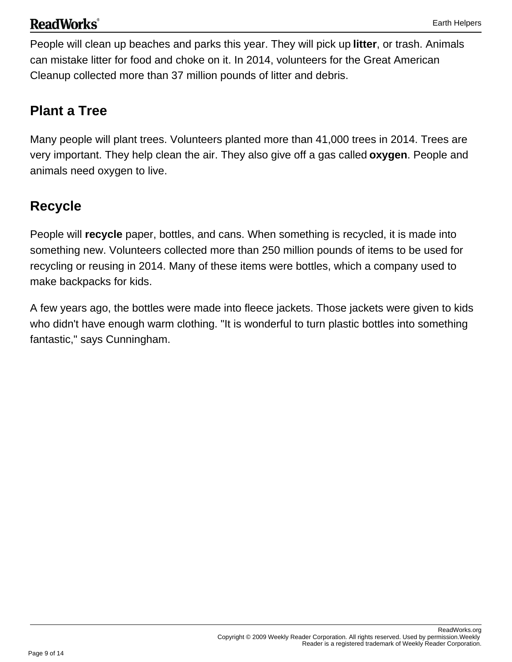#### **ReadWorks**®

People will clean up beaches and parks this year. They will pick up **litter**, or trash. Animals can mistake litter for food and choke on it. In 2014, volunteers for the Great American Cleanup collected more than 37 million pounds of litter and debris.

#### **Plant a Tree**

Many people will plant trees. Volunteers planted more than 41,000 trees in 2014. Trees are very important. They help clean the air. They also give off a gas called **oxygen**. People and animals need oxygen to live.

### **Recycle**

People will **recycle** paper, bottles, and cans. When something is recycled, it is made into something new. Volunteers collected more than 250 million pounds of items to be used for recycling or reusing in 2014. Many of these items were bottles, which a company used to make backpacks for kids.

A few years ago, the bottles were made into fleece jackets. Those jackets were given to kids who didn't have enough warm clothing. "It is wonderful to turn plastic bottles into something fantastic," says Cunningham.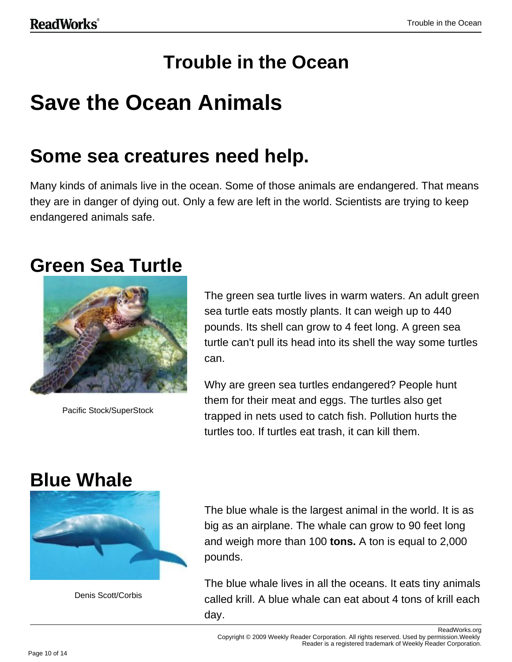## **Trouble in the Ocean**

## **Save the Ocean Animals**

## **Some sea creatures need help.**

Many kinds of animals live in the ocean. Some of those animals are endangered. That means they are in danger of dying out. Only a few are left in the world. Scientists are trying to keep endangered animals safe.

### **Green Sea Turtle**



Pacific Stock/SuperStock

The green sea turtle lives in warm waters. An adult green sea turtle eats mostly plants. It can weigh up to 440 pounds. Its shell can grow to 4 feet long. A green sea turtle can't pull its head into its shell the way some turtles can.

Why are green sea turtles endangered? People hunt them for their meat and eggs. The turtles also get trapped in nets used to catch fish. Pollution hurts the turtles too. If turtles eat trash, it can kill them.

## **Blue Whale**



Denis Scott/Corbis

The blue whale is the largest animal in the world. It is as big as an airplane. The whale can grow to 90 feet long and weigh more than 100 **tons.** A ton is equal to 2,000 pounds.

The blue whale lives in all the oceans. It eats tiny animals called krill. A blue whale can eat about 4 tons of krill each day.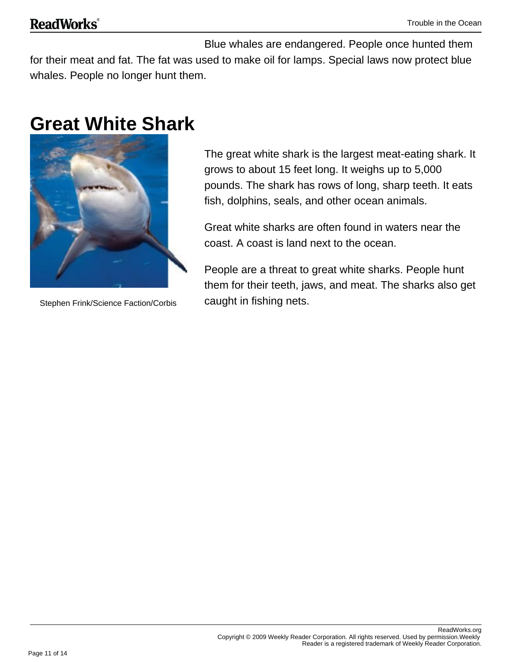#### **ReadWorks**®

Blue whales are endangered. People once hunted them for their meat and fat. The fat was used to make oil for lamps. Special laws now protect blue whales. People no longer hunt them.

## **Great White Shark**



Stephen Frink/Science Faction/Corbis

The great white shark is the largest meat-eating shark. It grows to about 15 feet long. It weighs up to 5,000 pounds. The shark has rows of long, sharp teeth. It eats fish, dolphins, seals, and other ocean animals.

Great white sharks are often found in waters near the coast. A coast is land next to the ocean.

People are a threat to great white sharks. People hunt them for their teeth, jaws, and meat. The sharks also get caught in fishing nets.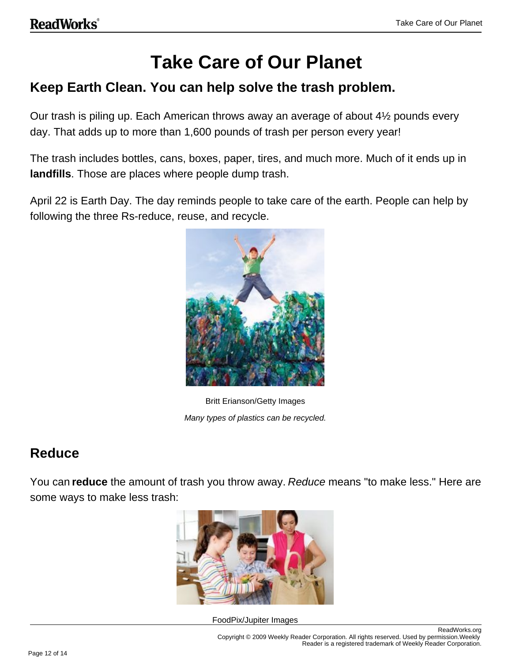## **Take Care of Our Planet**

#### **Keep Earth Clean. You can help solve the trash problem.**

Our trash is piling up. Each American throws away an average of about 4½ pounds every day. That adds up to more than 1,600 pounds of trash per person every year!

The trash includes bottles, cans, boxes, paper, tires, and much more. Much of it ends up in **landfills**. Those are places where people dump trash.

April 22 is Earth Day. The day reminds people to take care of the earth. People can help by following the three Rs-reduce, reuse, and recycle.



Britt Erianson/Getty Images Many types of plastics can be recycled.

#### **Reduce**

You can **reduce** the amount of trash you throw away. Reduce means "to make less." Here are some ways to make less trash:



FoodPix/Jupiter Images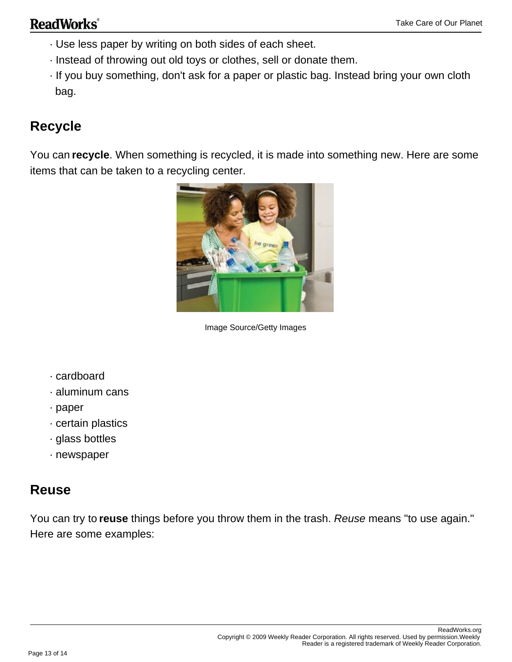- · Use less paper by writing on both sides of each sheet.
- · Instead of throwing out old toys or clothes, sell or donate them.
- · If you buy something, don't ask for a paper or plastic bag. Instead bring your own cloth bag.

#### **Recycle**

You can **recycle**. When something is recycled, it is made into something new. Here are some items that can be taken to a recycling center.



Image Source/Getty Images

- · cardboard
- · aluminum cans
- · paper
- · certain plastics
- · glass bottles
- · newspaper

#### **Reuse**

You can try to **reuse** things before you throw them in the trash. Reuse means "to use again." Here are some examples: